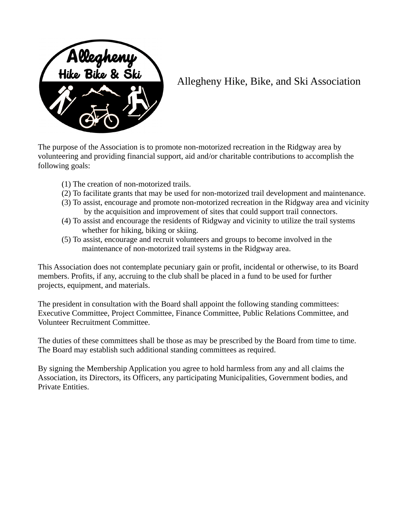

## Allegheny Hike, Bike, and Ski Association

The purpose of the Association is to promote non-motorized recreation in the Ridgway area by volunteering and providing financial support, aid and/or charitable contributions to accomplish the following goals:

- (1) The creation of non-motorized trails.
- (2) To facilitate grants that may be used for non-motorized trail development and maintenance.
- (3) To assist, encourage and promote non-motorized recreation in the Ridgway area and vicinity by the acquisition and improvement of sites that could support trail connectors.
- (4) To assist and encourage the residents of Ridgway and vicinity to utilize the trail systems whether for hiking, biking or skiing.
- (5) To assist, encourage and recruit volunteers and groups to become involved in the maintenance of non-motorized trail systems in the Ridgway area.

This Association does not contemplate pecuniary gain or profit, incidental or otherwise, to its Board members. Profits, if any, accruing to the club shall be placed in a fund to be used for further projects, equipment, and materials.

The president in consultation with the Board shall appoint the following standing committees: Executive Committee, Project Committee, Finance Committee, Public Relations Committee, and Volunteer Recruitment Committee.

The duties of these committees shall be those as may be prescribed by the Board from time to time. The Board may establish such additional standing committees as required.

By signing the Membership Application you agree to hold harmless from any and all claims the Association, its Directors, its Officers, any participating Municipalities, Government bodies, and Private Entities.